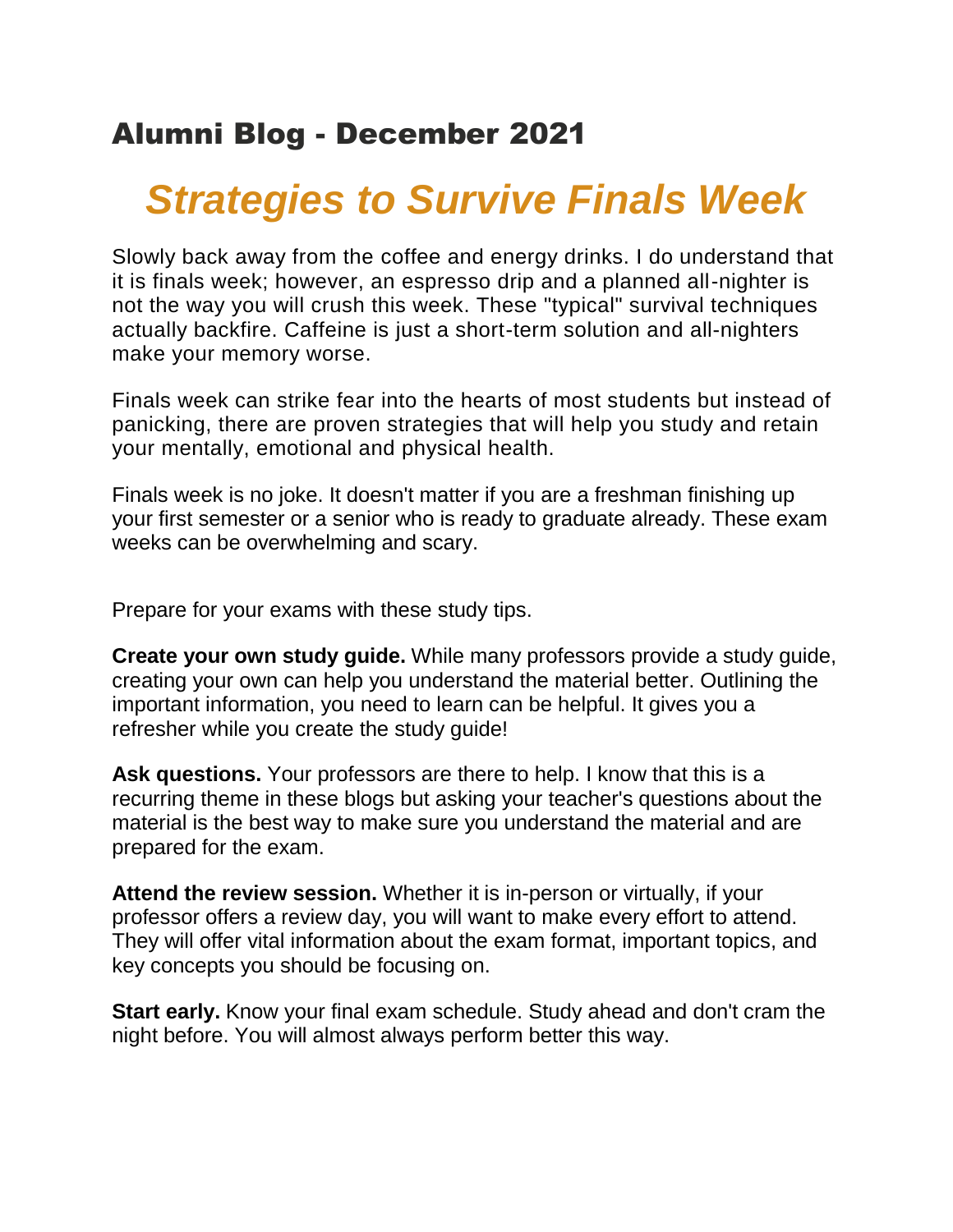## Alumni Blog - December 2021

## *Strategies to Survive Finals Week*

Slowly back away from the coffee and energy drinks. I do understand that it is finals week; however, an espresso drip and a planned all-nighter is not the way you will crush this week. These "typical" survival techniques actually backfire. Caffeine is just a short-term solution and all-nighters make your memory worse.

Finals week can strike fear into the hearts of most students but instead of panicking, there are proven strategies that will help you study and retain your mentally, emotional and physical health.

Finals week is no joke. It doesn't matter if you are a freshman finishing up your first semester or a senior who is ready to graduate already. These exam weeks can be overwhelming and scary.

Prepare for your exams with these study tips.

**Create your own study guide.** While many professors provide a study guide, creating your own can help you understand the material better. Outlining the important information, you need to learn can be helpful. It gives you a refresher while you create the study guide!

**Ask questions.** Your professors are there to help. I know that this is a recurring theme in these blogs but asking your teacher's questions about the material is the best way to make sure you understand the material and are prepared for the exam.

**Attend the review session.** Whether it is in-person or virtually, if your professor offers a review day, you will want to make every effort to attend. They will offer vital information about the exam format, important topics, and key concepts you should be focusing on.

**Start early.** Know your final exam schedule. Study ahead and don't cram the night before. You will almost always perform better this way.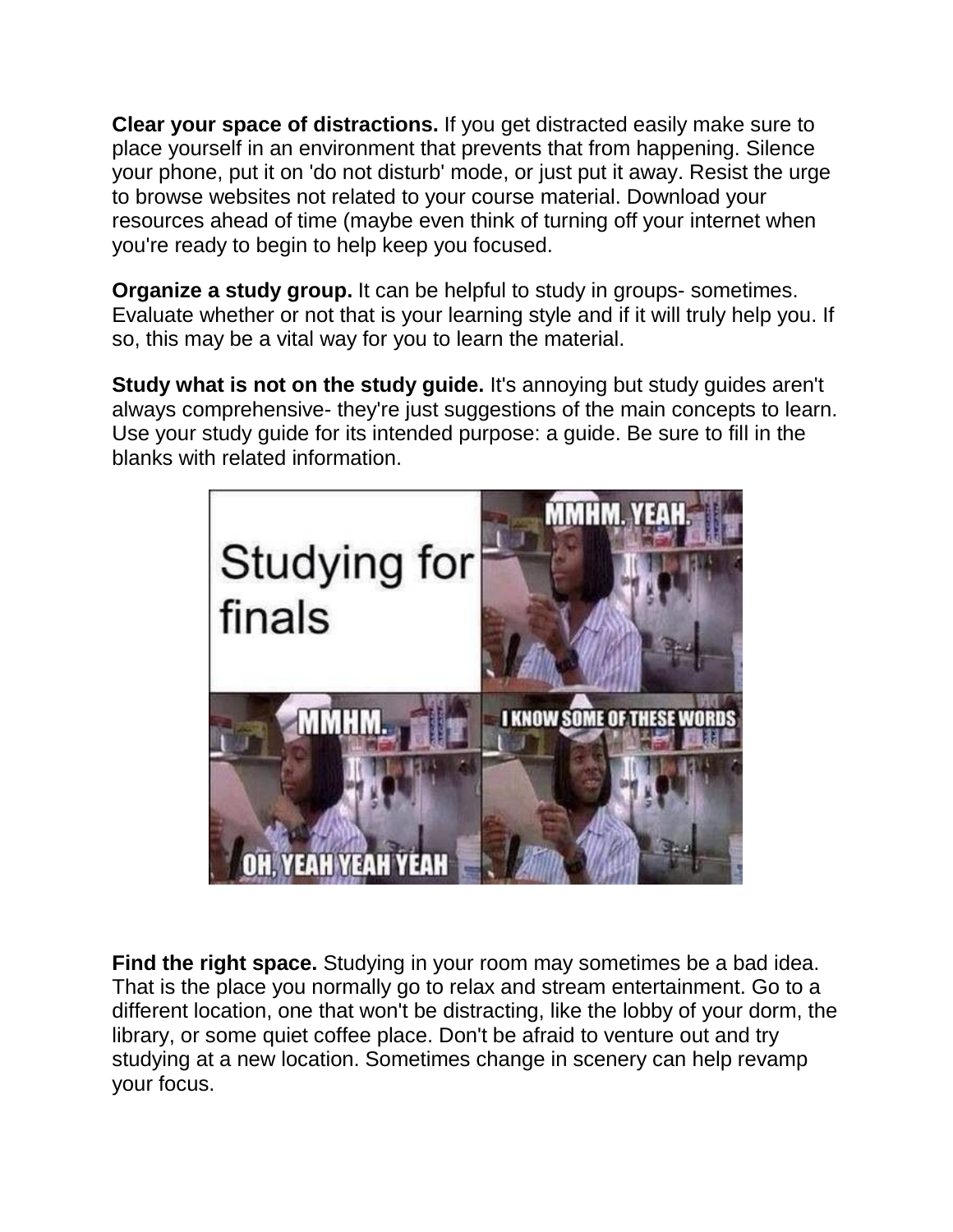**Clear your space of distractions.** If you get distracted easily make sure to place yourself in an environment that prevents that from happening. Silence your phone, put it on 'do not disturb' mode, or just put it away. Resist the urge to browse websites not related to your course material. Download your resources ahead of time (maybe even think of turning off your internet when you're ready to begin to help keep you focused.

**Organize a study group.** It can be helpful to study in groups- sometimes. Evaluate whether or not that is your learning style and if it will truly help you. If so, this may be a vital way for you to learn the material.

**Study what is not on the study guide.** It's annoying but study guides aren't always comprehensive- they're just suggestions of the main concepts to learn. Use your study guide for its intended purpose: a guide. Be sure to fill in the blanks with related information.



**Find the right space.** Studying in your room may sometimes be a bad idea. That is the place you normally go to relax and stream entertainment. Go to a different location, one that won't be distracting, like the lobby of your dorm, the library, or some quiet coffee place. Don't be afraid to venture out and try studying at a new location. Sometimes change in scenery can help revamp your focus.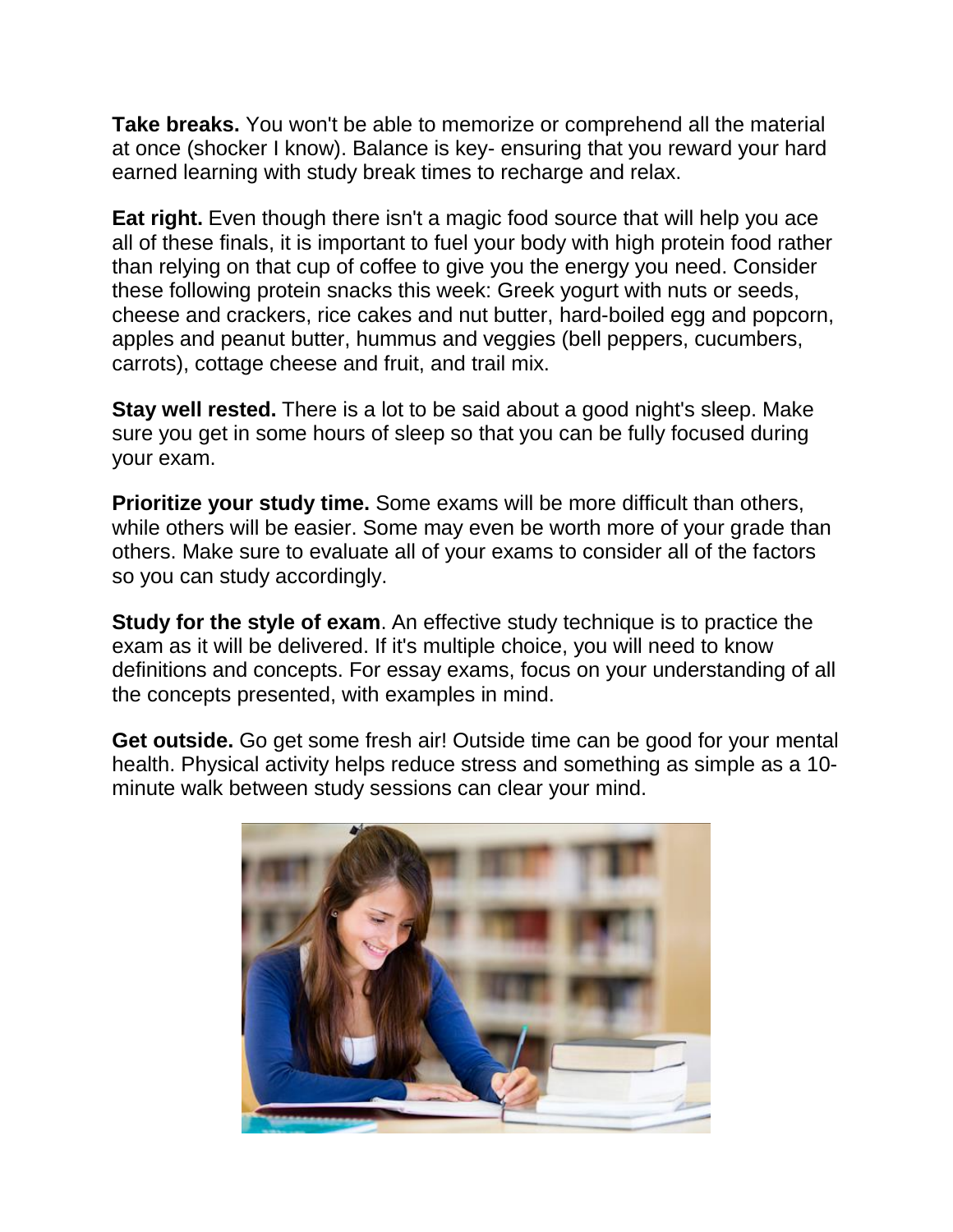**Take breaks.** You won't be able to memorize or comprehend all the material at once (shocker I know). Balance is key- ensuring that you reward your hard earned learning with study break times to recharge and relax.

**Eat right.** Even though there isn't a magic food source that will help you ace all of these finals, it is important to fuel your body with high protein food rather than relying on that cup of coffee to give you the energy you need. Consider these following protein snacks this week: Greek yogurt with nuts or seeds, cheese and crackers, rice cakes and nut butter, hard-boiled egg and popcorn, apples and peanut butter, hummus and veggies (bell peppers, cucumbers, carrots), cottage cheese and fruit, and trail mix.

**Stay well rested.** There is a lot to be said about a good night's sleep. Make sure you get in some hours of sleep so that you can be fully focused during your exam.

**Prioritize your study time.** Some exams will be more difficult than others, while others will be easier. Some may even be worth more of your grade than others. Make sure to evaluate all of your exams to consider all of the factors so you can study accordingly.

**Study for the style of exam**. An effective study technique is to practice the exam as it will be delivered. If it's multiple choice, you will need to know definitions and concepts. For essay exams, focus on your understanding of all the concepts presented, with examples in mind.

**Get outside.** Go get some fresh air! Outside time can be good for your mental health. Physical activity helps reduce stress and something as simple as a 10 minute walk between study sessions can clear your mind.